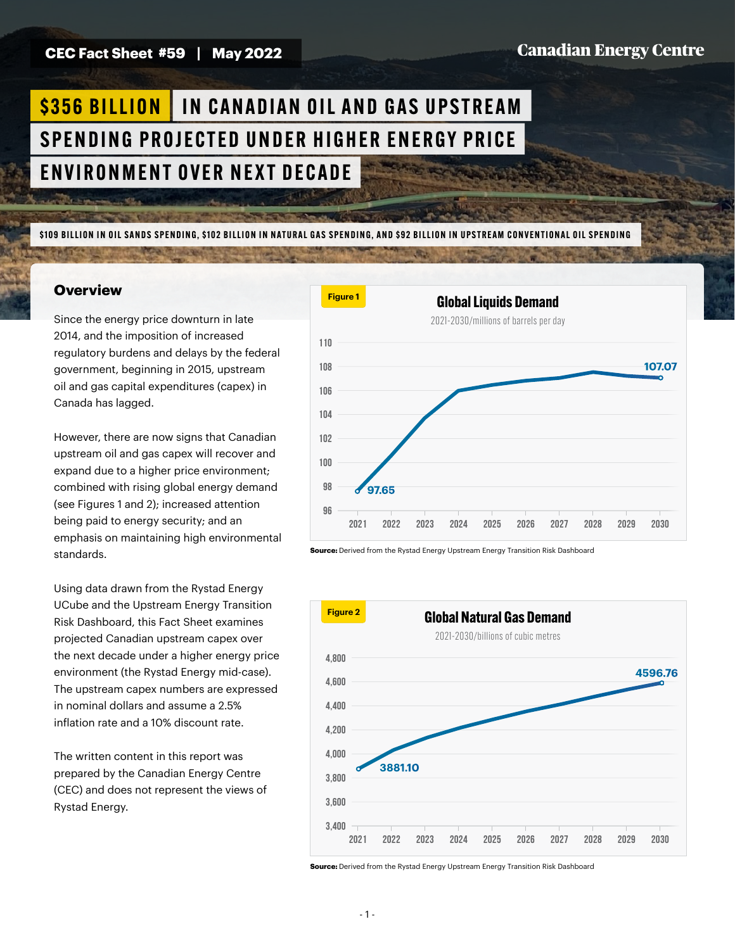**CEC Fact Sheet #59 | May 2022**

### **Canadian Energy Centre**

# **\$356 BILLION | IN CANADIAN OIL AND GAS UPSTREAM** SPENDING PROJECTED UNDER HIGHER ENERGY PRICE ENVIRONMENT OVER NEXT DECADE

\$109 BILLION IN OIL SANDS SPENDING, \$102 BILLION IN NATURAL GAS SPENDING, AND \$92 BILLION IN UPSTREAM CONVENTIONAL OIL SPENDING

#### **Overview**

Since the energy price downturn in late 2014, and the imposition of increased regulatory burdens and delays by the federal government, beginning in 2015, upstream oil and gas capital expenditures (capex) in Canada has lagged.

However, there are now signs that Canadian upstream oil and gas capex will recover and expand due to a higher price environment; combined with rising global energy demand (see Figures 1 and 2); increased attention being paid to energy security; and an emphasis on maintaining high environmental standards.

Using data drawn from the Rystad Energy UCube and the Upstream Energy Transition Risk Dashboard, this Fact Sheet examines projected Canadian upstream capex over the next decade under a higher energy price environment (the Rystad Energy mid-case). The upstream capex numbers are expressed in nominal dollars and assume a 2.5% inflation rate and a 10% discount rate.

The written content in this report was prepared by the Canadian Energy Centre (CEC) and does not represent the views of Rystad Energy.



**Source:** Derived from the Rystad Energy Upstream Energy Transition Risk Dashboard



**Source:** Derived from the Rystad Energy Upstream Energy Transition Risk Dashboard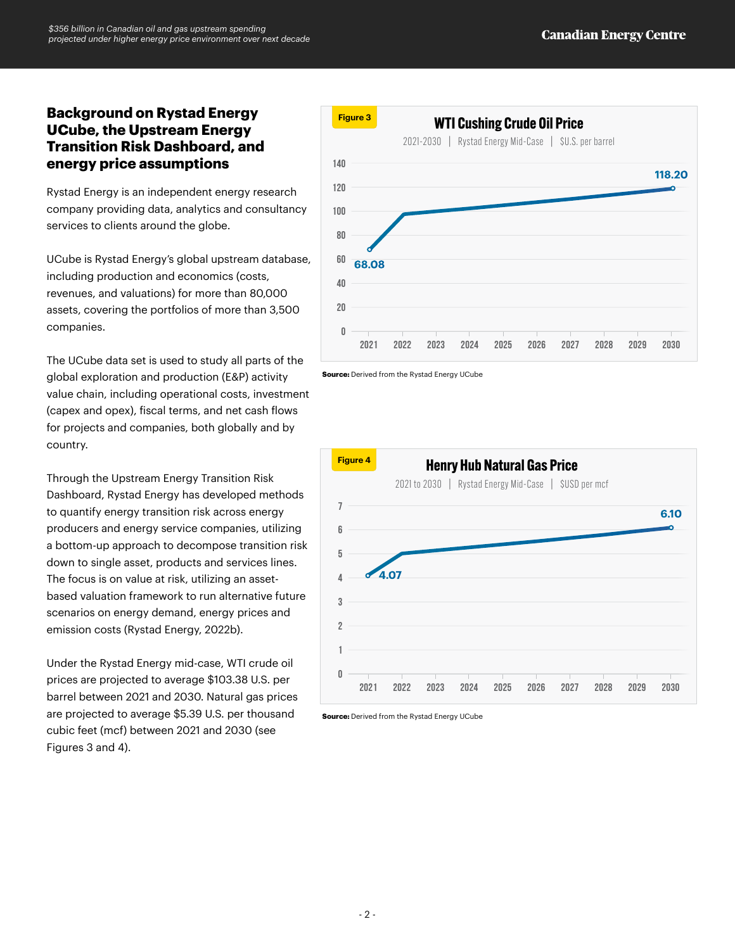### **Background on Rystad Energy UCube, the Upstream Energy Transition Risk Dashboard, and energy price assumptions**

Rystad Energy is an independent energy research company providing data, analytics and consultancy services to clients around the globe.

UCube is Rystad Energy's global upstream database, including production and economics (costs, revenues, and valuations) for more than 80,000 assets, covering the portfolios of more than 3,500 companies.

The UCube data set is used to study all parts of the global exploration and production (E&P) activity value chain, including operational costs, investment (capex and opex), fiscal terms, and net cash flows for projects and companies, both globally and by country.

Through the Upstream Energy Transition Risk Dashboard, Rystad Energy has developed methods to quantify energy transition risk across energy producers and energy service companies, utilizing a bottom-up approach to decompose transition risk down to single asset, products and services lines. The focus is on value at risk, utilizing an assetbased valuation framework to run alternative future scenarios on energy demand, energy prices and emission costs (Rystad Energy, 2022b).

Under the Rystad Energy mid-case, WTI crude oil prices are projected to average \$103.38 U.S. per barrel between 2021 and 2030. Natural gas prices are projected to average \$5.39 U.S. per thousand cubic feet (mcf) between 2021 and 2030 (see Figures 3 and 4).



**Source:** Derived from the Rystad Energy UCube



**Source:** Derived from the Rystad Energy UCube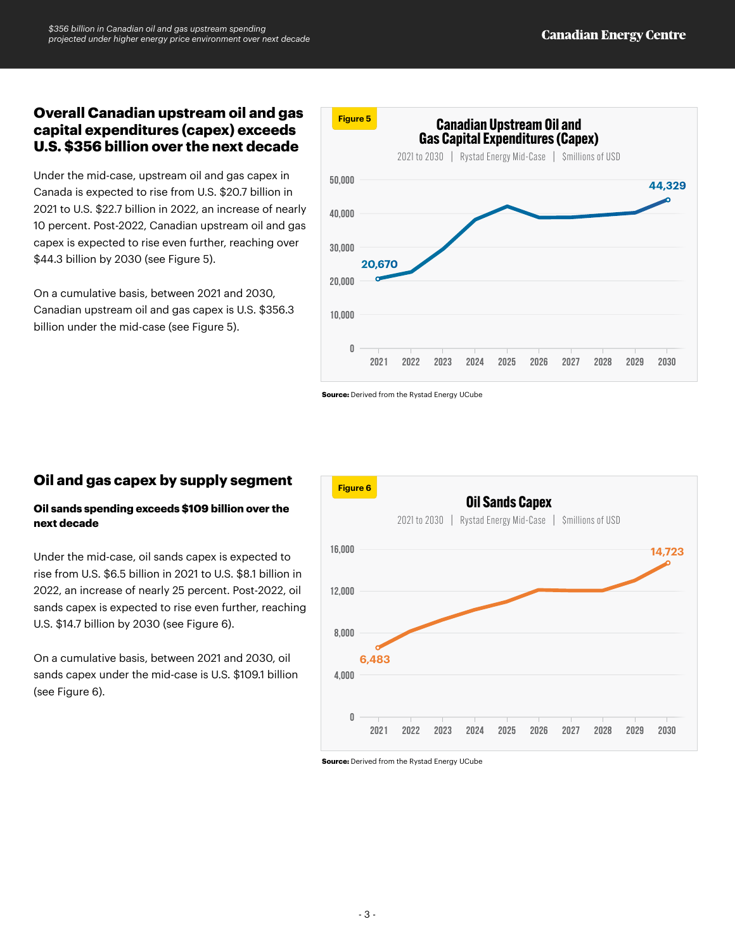## **Overall Canadian upstream oil and gas capital expenditures (capex) exceeds U.S. \$356 billion over the next decade**

Under the mid-case, upstream oil and gas capex in Canada is expected to rise from U.S. \$20.7 billion in 2021 to U.S. \$22.7 billion in 2022, an increase of nearly 10 percent. Post-2022, Canadian upstream oil and gas capex is expected to rise even further, reaching over \$44.3 billion by 2030 (see Figure 5).

On a cumulative basis, between 2021 and 2030, Canadian upstream oil and gas capex is U.S. \$356.3 billion under the mid-case (see Figure 5).



**Source:** Derived from the Rystad Energy UCube

## **Oil and gas capex by supply segment**

#### **Oil sands spending exceeds \$109 billion over the next decade**

Under the mid-case, oil sands capex is expected to rise from U.S. \$6.5 billion in 2021 to U.S. \$8.1 billion in 2022, an increase of nearly 25 percent. Post-2022, oil sands capex is expected to rise even further, reaching U.S. \$14.7 billion by 2030 (see Figure 6).

On a cumulative basis, between 2021 and 2030, oil sands capex under the mid-case is U.S. \$109.1 billion (see Figure 6).



**Source:** Derived from the Rystad Energy UCube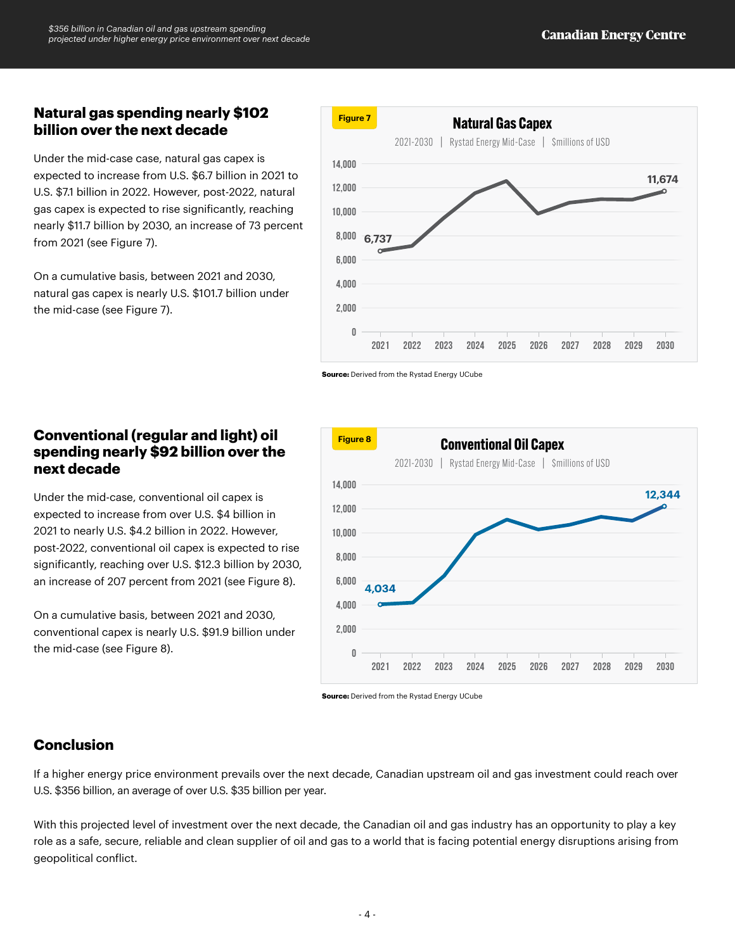## **Natural gas spending nearly \$102 billion over the next decade**

Under the mid-case case, natural gas capex is expected to increase from U.S. \$6.7 billion in 2021 to U.S. \$7.1 billion in 2022. However, post-2022, natural gas capex is expected to rise significantly, reaching nearly \$11.7 billion by 2030, an increase of 73 percent from 2021 (see Figure 7).

On a cumulative basis, between 2021 and 2030, natural gas capex is nearly U.S. \$101.7 billion under the mid-case (see Figure 7).

## **Conventional (regular and light) oil spending nearly \$92 billion over the next decade**

Under the mid-case, conventional oil capex is expected to increase from over U.S. \$4 billion in 2021 to nearly U.S. \$4.2 billion in 2022. However, post-2022, conventional oil capex is expected to rise significantly, reaching over U.S. \$12.3 billion by 2030, an increase of 207 percent from 2021 (see Figure 8).

On a cumulative basis, between 2021 and 2030, conventional capex is nearly U.S. \$91.9 billion under the mid-case (see Figure 8).



## **Conclusion**

If a higher energy price environment prevails over the next decade, Canadian upstream oil and gas investment could reach over U.S. \$356 billion, an average of over U.S. \$35 billion per year.

With this projected level of investment over the next decade, the Canadian oil and gas industry has an opportunity to play a key role as a safe, secure, reliable and clean supplier of oil and gas to a world that is facing potential energy disruptions arising from geopolitical conflict.